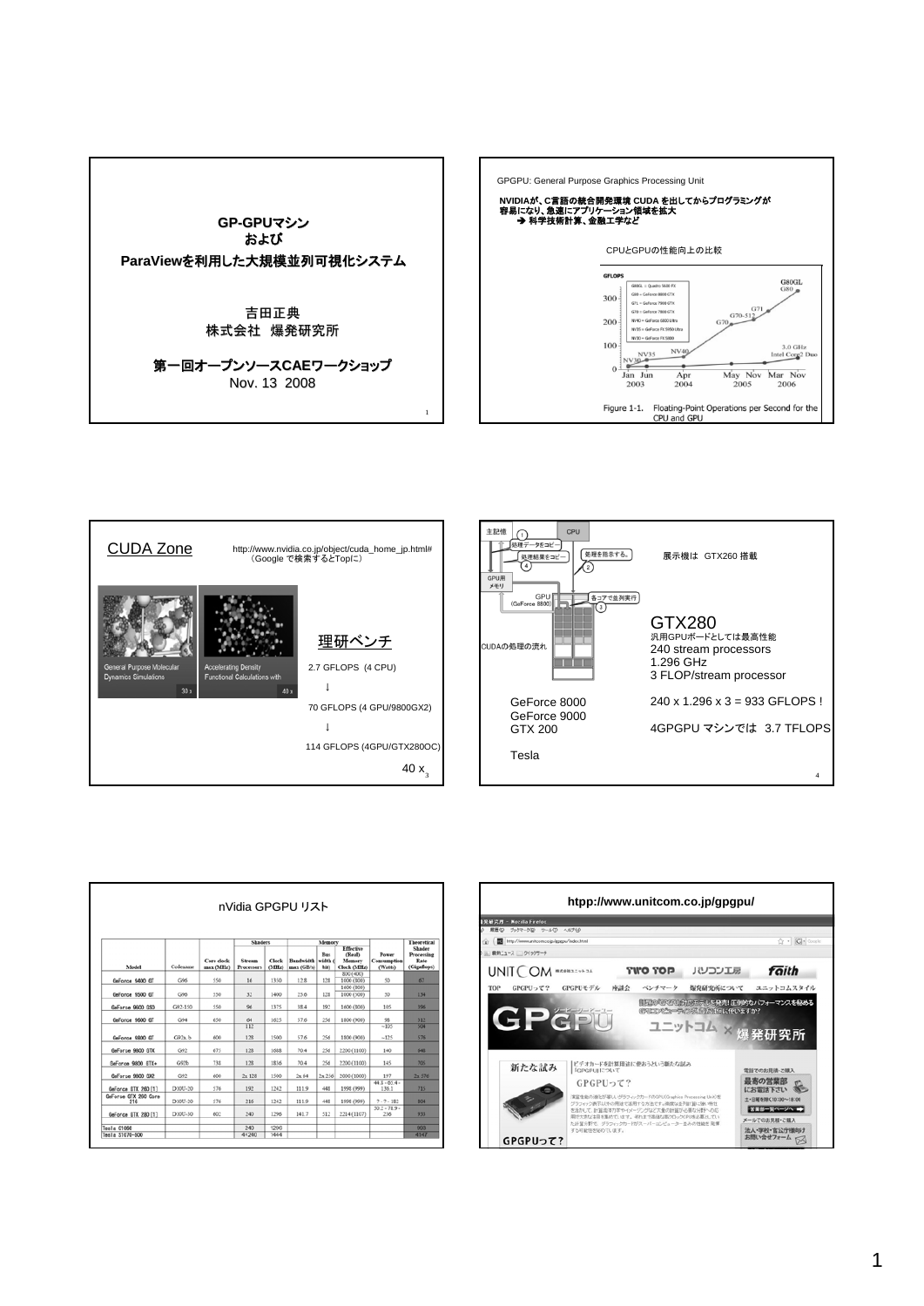





| nVidia GPGPU リスト            |            |                         |                             |                |                                |                               |                                              |                                 |                                             |
|-----------------------------|------------|-------------------------|-----------------------------|----------------|--------------------------------|-------------------------------|----------------------------------------------|---------------------------------|---------------------------------------------|
| Model                       | Codename   | Core clock<br>max (MHz) | <b>Shaders</b>              |                | Memory                         |                               |                                              |                                 | <b>Theoretical</b>                          |
|                             |            |                         | Stream<br><b>Processors</b> | Clock<br>(MEz) | <b>Bandwidth</b><br>max (GB/s) | <b>Bus</b><br>width (<br>bit) | Effective<br>(Real)<br>Memory<br>Clock (MHz) | Power<br>Consumption<br>(Watts) | Shader<br>Processing<br>Rate<br>(Gigaflops) |
| GeForce 9400 GT             | G96        | 550                     | 16                          | 1350           | 12.8                           | 128                           | 800 (400)<br>1000 (800)                      | 50                              | 67                                          |
|                             |            |                         |                             |                |                                |                               | 1600 (800)                                   |                                 |                                             |
| GeForce 9500 GT             | C/96       | 550                     | 32                          | 1400           | 25.6                           | 128                           | 1000 (500)                                   | 50                              | 134                                         |
| GeForce 9600 GSD            | G92-150    | 550                     | 96                          | 1375           | 38.4                           | 192                           | 1600 (800)                                   | 105                             | 396                                         |
| GeForce 9600 GT             | G94        | 650                     | 64                          | 1625           | 57.6                           | 256                           | 1800 (900)                                   | 98                              | 312                                         |
| GeForce 9800 GT             | $G92a$ , b | 600                     | $\overline{112}$<br>128     | 1500           | 57.6                           | 256                           | 1800 (900)                                   | $-105$<br>$-125$                | 504<br>576                                  |
| GeForce 9800 GTX            | G92        | 675                     | 128                         | 1688           | 70.4                           | 256                           | 2200 (1100)                                  | 140                             | 648                                         |
| GeForce 9800 GTX+           | G92b       | 738                     | 128                         | 1836           | 70.4                           | 256                           | 2200 (1100)                                  | 145                             | 705                                         |
| GeForce 9800 GX2            | G42        | 600                     | 2x128                       | 1500           | 2x64                           | 2x, 256                       | 2000 (1000)                                  | 197                             | 2x 576                                      |
| GeForce GTX 260 [1]         | D10U-20    | 576                     | 192                         | 1242           | 111.9                          | 448                           | 1998 (999)                                   | $44.8 - 65.4 -$<br>136.1        | 715                                         |
| GeForce GTX 260 Core<br>216 | D10U-20    | 576                     | 216                         | 1242           | 111.9                          | 448                           | 1998 (999)                                   | $7 - 7 - 182$                   | 804                                         |
| GeForce GTX 280 [1]         | D10U-30    | 602                     | 240                         | 1296           | 141.7                          | 512                           | 2214 (1107)                                  | $50.2 - 78.9 -$<br>236          | 933                                         |
| Tesla C1060                 |            |                         | 240                         | 1296           |                                |                               |                                              |                                 | 993                                         |
| Tesla \$1070-500            |            |                         | $4 \times 240$              | 1444           |                                |                               |                                              |                                 | 4147                                        |